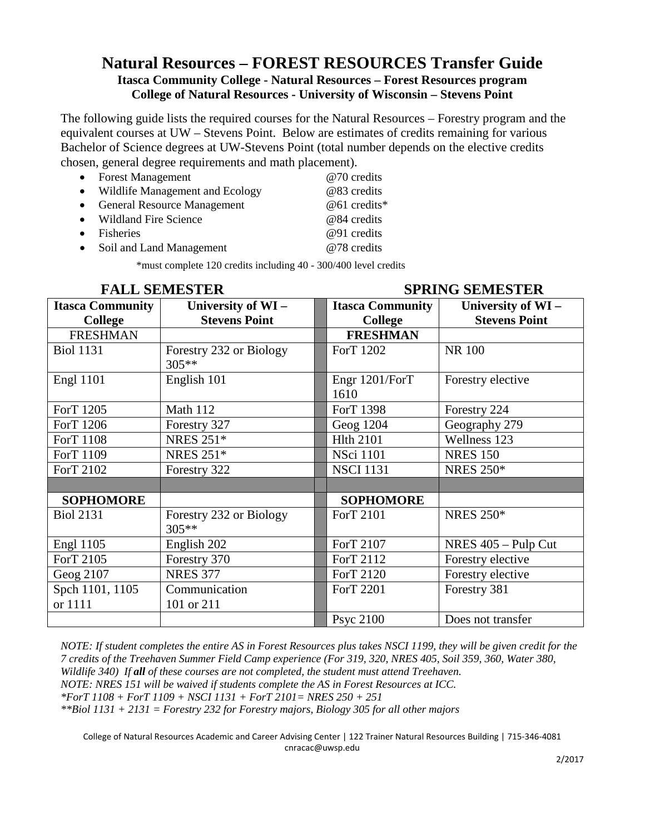### **Natural Resources – FOREST RESOURCES Transfer Guide Itasca Community College - Natural Resources – Forest Resources program College of Natural Resources - University of Wisconsin – Stevens Point**

The following guide lists the required courses for the Natural Resources – Forestry program and the equivalent courses at UW – Stevens Point. Below are estimates of credits remaining for various Bachelor of Science degrees at UW-Stevens Point (total number depends on the elective credits chosen, general degree requirements and math placement).

| • Forest Management               | @70 credits  |
|-----------------------------------|--------------|
| • Wildlife Management and Ecology | @83 credits  |
| • General Resource Management     | @61 credits* |
| • Wildland Fire Science           | @84 credits  |
| • Fisheries                       | @91 credits  |
| • Soil and Land Management        | @78 credits  |
|                                   |              |

\*must complete 120 credits including 40 - 300/400 level credits

|                         | <b>FALL SEMESTER</b>             | <b>SPRING SEMESTER</b>  |                      |  |
|-------------------------|----------------------------------|-------------------------|----------------------|--|
| <b>Itasca Community</b> | University of WI-                | <b>Itasca Community</b> | University of WI-    |  |
| <b>College</b>          | <b>Stevens Point</b>             | <b>College</b>          | <b>Stevens Point</b> |  |
| <b>FRESHMAN</b>         |                                  | <b>FRESHMAN</b>         |                      |  |
| <b>Biol 1131</b>        | Forestry 232 or Biology<br>305** | ForT 1202               | <b>NR 100</b>        |  |
| <b>Engl 1101</b>        | English 101                      | Engr 1201/ForT<br>1610  | Forestry elective    |  |
| ForT 1205               | Math 112                         | ForT 1398               | Forestry 224         |  |
| ForT 1206               | Forestry 327                     | Geog 1204               | Geography 279        |  |
| ForT 1108               | <b>NRES 251*</b>                 | <b>Hlth 2101</b>        | Wellness 123         |  |
| ForT 1109               | <b>NRES 251*</b>                 | <b>NSci 1101</b>        | <b>NRES 150</b>      |  |
| ForT 2102               | Forestry 322                     | <b>NSCI 1131</b>        | <b>NRES 250*</b>     |  |
|                         |                                  |                         |                      |  |
| <b>SOPHOMORE</b>        |                                  | <b>SOPHOMORE</b>        |                      |  |
| <b>Biol 2131</b>        | Forestry 232 or Biology<br>305** | ForT 2101               | <b>NRES 250*</b>     |  |
| <b>Engl 1105</b>        | English 202                      | ForT 2107               | NRES 405 - Pulp Cut  |  |
| ForT 2105               | Forestry 370                     | ForT 2112               | Forestry elective    |  |
| Geog 2107               | <b>NRES 377</b>                  | ForT 2120               | Forestry elective    |  |
| Spch 1101, 1105         | Communication                    | ForT 2201               | Forestry 381         |  |
| or 1111                 | 101 or 211                       |                         |                      |  |
|                         |                                  | <b>Psyc 2100</b>        | Does not transfer    |  |

*NOTE: If student completes the entire AS in Forest Resources plus takes NSCI 1199, they will be given credit for the 7 credits of the Treehaven Summer Field Camp experience (For 319, 320, NRES 405, Soil 359, 360, Water 380, Wildlife 340) If all of these courses are not completed, the student must attend Treehaven.*

*NOTE: NRES 151 will be waived if students complete the AS in Forest Resources at ICC.*

*\*ForT 1108 + ForT 1109 + NSCI 1131 + ForT 2101= NRES 250 + 251*

*\*\*Biol 1131 + 2131 = Forestry 232 for Forestry majors, Biology 305 for all other majors*

College of Natural Resources Academic and Career Advising Center | 122 Trainer Natural Resources Building | 715-346-4081 [cnracac@uwsp.edu](mailto:cnracac@uwsp.edu)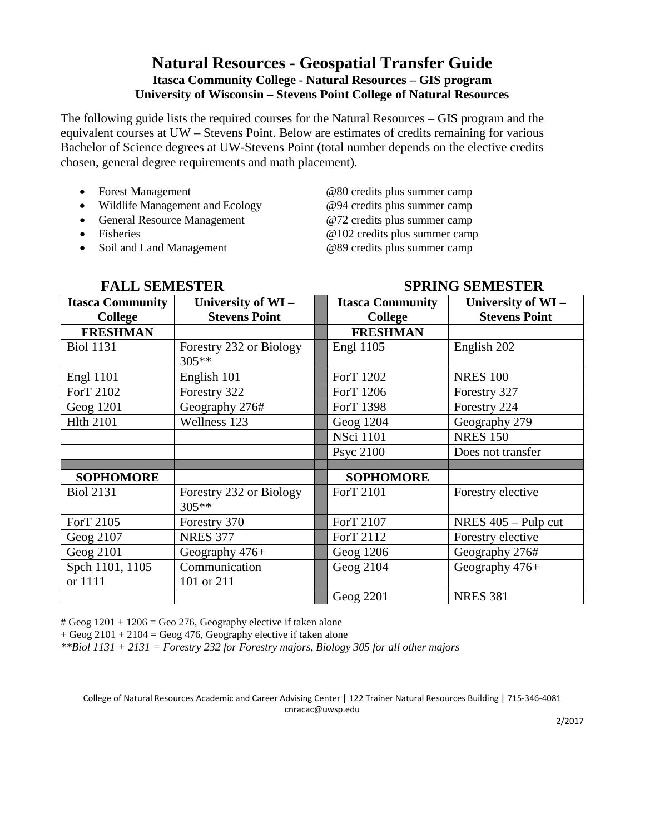## **Natural Resources - Geospatial Transfer Guide Itasca Community College - Natural Resources – GIS program University of Wisconsin – Stevens Point College of Natural Resources**

The following guide lists the required courses for the Natural Resources – GIS program and the equivalent courses at UW – Stevens Point. Below are estimates of credits remaining for various Bachelor of Science degrees at UW-Stevens Point (total number depends on the elective credits chosen, general degree requirements and math placement).

- 
- Wildlife Management and Ecology @94 credits plus summer camp
- General Resource Management @72 credits plus summer camp
- 
- Soil and Land Management @89 credits plus summer camp

• Forest Management  $@80$  credits plus summer camp • Fisheries **a** 102 credits plus summer camp

| <b>FALL SEMESTER</b>    |                                    |  | <b>SPRING SEMESTER</b>  |                       |  |
|-------------------------|------------------------------------|--|-------------------------|-----------------------|--|
| <b>Itasca Community</b> | University of WI-                  |  | <b>Itasca Community</b> | University of WI-     |  |
| <b>College</b>          | <b>Stevens Point</b>               |  | <b>College</b>          | <b>Stevens Point</b>  |  |
| <b>FRESHMAN</b>         |                                    |  | <b>FRESHMAN</b>         |                       |  |
| <b>Biol 1131</b>        | Forestry 232 or Biology<br>$305**$ |  | <b>Engl 1105</b>        | English 202           |  |
| <b>Engl 1101</b>        | English 101                        |  | ForT 1202               | <b>NRES 100</b>       |  |
| ForT 2102               | Forestry 322                       |  | ForT 1206               | Forestry 327          |  |
| Geog 1201               | Geography 276#                     |  | ForT 1398               | Forestry 224          |  |
| <b>Hlth 2101</b>        | Wellness 123                       |  | Geog 1204               | Geography 279         |  |
|                         |                                    |  | <b>NSci 1101</b>        | <b>NRES 150</b>       |  |
|                         |                                    |  | <b>Psyc 2100</b>        | Does not transfer     |  |
|                         |                                    |  |                         |                       |  |
| <b>SOPHOMORE</b>        |                                    |  | <b>SOPHOMORE</b>        |                       |  |
| <b>Biol 2131</b>        | Forestry 232 or Biology<br>305**   |  | ForT 2101               | Forestry elective     |  |
| ForT 2105               | Forestry 370                       |  | ForT 2107               | NRES $405 -$ Pulp cut |  |
| Geog 2107               | <b>NRES 377</b>                    |  | ForT 2112               | Forestry elective     |  |
| Geog 2101               | Geography 476+                     |  | Geog 1206               | Geography 276#        |  |
| Spch 1101, 1105         | Communication                      |  | Geog 2104               | Geography 476+        |  |
| or 1111                 | 101 or 211                         |  |                         |                       |  |
|                         |                                    |  | Geog 2201               | <b>NRES 381</b>       |  |

 $\#$  Geog 1201 + 1206 = Geo 276, Geography elective if taken alone

 $+$  Geog 2101  $+$  2104 = Geog 476, Geography elective if taken alone

*\*\*Biol 1131 + 2131 = Forestry 232 for Forestry majors, Biology 305 for all other majors*

College of Natural Resources Academic and Career Advising Center | 122 Trainer Natural Resources Building | 715-346-4081 [cnracac@uwsp.edu](mailto:cnracac@uwsp.edu)

2/2017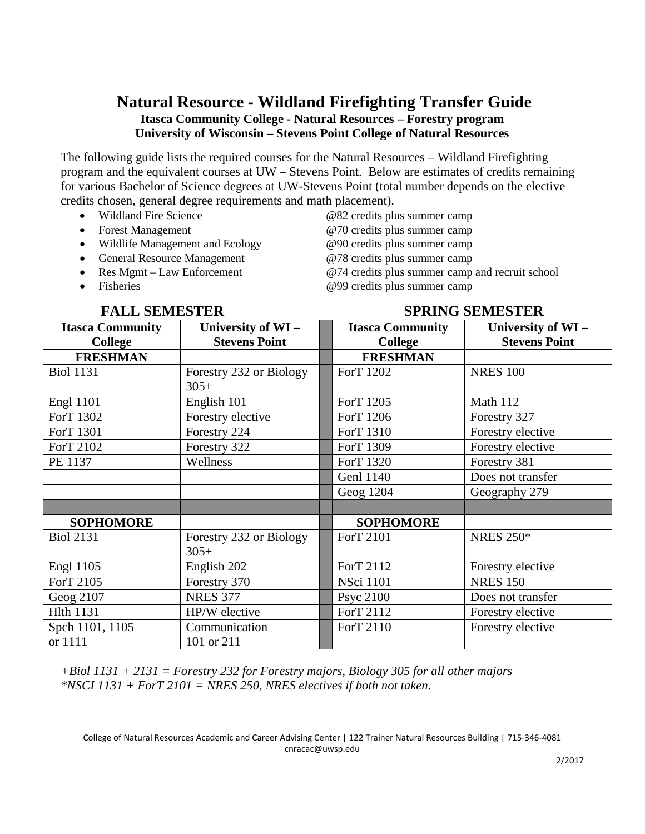# **Natural Resource - Wildland Firefighting Transfer Guide Itasca Community College - Natural Resources – Forestry program University of Wisconsin – Stevens Point College of Natural Resources**

The following guide lists the required courses for the Natural Resources – Wildland Firefighting program and the equivalent courses at UW – Stevens Point. Below are estimates of credits remaining for various Bachelor of Science degrees at UW-Stevens Point (total number depends on the elective credits chosen, general degree requirements and math placement).

- Wildland Fire Science  $@82$  credits plus summer camp
- 
- Wildlife Management and Ecology @90 credits plus summer camp
- 
- 

• Forest Management  $@70$  credits plus summer camp • General Resource Management @78 credits plus summer camp<br>• Res Mgmt – Law Enforcement @74 credits plus summer camp  $@74$  credits plus summer camp and recruit school • Fisheries **a**  $@99$  credits plus summer camp

### **FALL SEMESTER SPRING SEMESTER**

| <b>Itasca Community</b> | University of WI-       | <b>Itasca Community</b> | University of WI-    |
|-------------------------|-------------------------|-------------------------|----------------------|
| <b>College</b>          | <b>Stevens Point</b>    | <b>College</b>          | <b>Stevens Point</b> |
| <b>FRESHMAN</b>         |                         | <b>FRESHMAN</b>         |                      |
| <b>Biol 1131</b>        | Forestry 232 or Biology | ForT 1202               | <b>NRES 100</b>      |
|                         | $305+$                  |                         |                      |
| <b>Engl 1101</b>        | English 101             | ForT 1205               | Math 112             |
| ForT 1302               | Forestry elective       | ForT 1206               | Forestry 327         |
| ForT 1301               | Forestry 224            | ForT 1310               | Forestry elective    |
| ForT 2102               | Forestry 322            | ForT 1309               | Forestry elective    |
| PE 1137                 | Wellness                | ForT 1320               | Forestry 381         |
|                         |                         | <b>Genl 1140</b>        | Does not transfer    |
|                         |                         | Geog 1204               | Geography 279        |
|                         |                         |                         |                      |
| <b>SOPHOMORE</b>        |                         | <b>SOPHOMORE</b>        |                      |
| <b>Biol 2131</b>        | Forestry 232 or Biology | ForT 2101               | <b>NRES 250*</b>     |
|                         | $305+$                  |                         |                      |
| <b>Engl 1105</b>        | English 202             | ForT 2112               | Forestry elective    |
| ForT 2105               | Forestry 370            | <b>NSci 1101</b>        | <b>NRES 150</b>      |
| Geog 2107               | <b>NRES 377</b>         | <b>Psyc 2100</b>        | Does not transfer    |
| <b>Hlth 1131</b>        | HP/W elective           | ForT 2112               | Forestry elective    |
| Spch 1101, 1105         | Communication           | ForT 2110               | Forestry elective    |
| or 1111                 | 101 or 211              |                         |                      |

*+Biol 1131 + 2131 = Forestry 232 for Forestry majors, Biology 305 for all other majors \*NSCI 1131 + ForT 2101 = NRES 250, NRES electives if both not taken.*